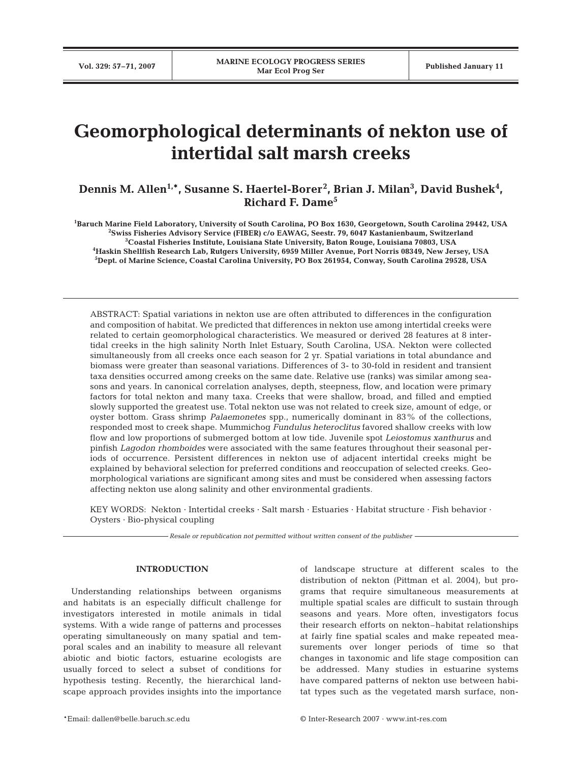# **Geomorphological determinants of nekton use of intertidal salt marsh creeks**

Dennis M. Allen<sup>1,\*</sup>, Susanne S. Haertel-Borer<sup>2</sup>, Brian J. Milan<sup>3</sup>, David Bushek<sup>4</sup>, **Richard F. Dame5**

**1 Baruch Marine Field Laboratory, University of South Carolina, PO Box 1630, Georgetown, South Carolina 29442, USA 2 Swiss Fisheries Advisory Service (FIBER) c/o EAWAG, Seestr. 79, 6047 Kastanienbaum, Switzerland** <sup>3</sup>Coastal Fisheries Institute, Louisiana State University, Baton Rouge, Louisiana 70803, USA **Coastal Fisheries Institute, Louisiana State University, Baton Rouge, Louisiana 70803, USA 4 Haskin Shellfish Research Lab, Rutgers University, 6959 Miller Avenue, Port Norris 08349, New Jersey, USA 5 Dept. of Marine Science, Coastal Carolina University, PO Box 261954, Conway, South Carolina 29528, USA** 

ABSTRACT: Spatial variations in nekton use are often attributed to differences in the configuration and composition of habitat. We predicted that differences in nekton use among intertidal creeks were related to certain geomorphological characteristics. We measured or derived 28 features at 8 intertidal creeks in the high salinity North Inlet Estuary, South Carolina, USA. Nekton were collected simultaneously from all creeks once each season for 2 yr. Spatial variations in total abundance and biomass were greater than seasonal variations. Differences of 3- to 30-fold in resident and transient taxa densities occurred among creeks on the same date. Relative use (ranks) was similar among seasons and years. In canonical correlation analyses, depth, steepness, flow, and location were primary factors for total nekton and many taxa. Creeks that were shallow, broad, and filled and emptied slowly supported the greatest use. Total nekton use was not related to creek size, amount of edge, or oyster bottom. Grass shrimp *Palaemonetes* spp., numerically dominant in 83% of the collections, responded most to creek shape. Mummichog *Fundulus heteroclitus* favored shallow creeks with low flow and low proportions of submerged bottom at low tide. Juvenile spot *Leiostomus xanthurus* and pinfish *Lagodon rhomboides* were associated with the same features throughout their seasonal periods of occurrence. Persistent differences in nekton use of adjacent intertidal creeks might be explained by behavioral selection for preferred conditions and reoccupation of selected creeks. Geomorphological variations are significant among sites and must be considered when assessing factors affecting nekton use along salinity and other environmental gradients.

KEY WORDS: Nekton · Intertidal creeks · Salt marsh · Estuaries · Habitat structure · Fish behavior · Oysters · Bio-physical coupling

*Resale or republication not permitted without written consent of the publisher*

# **INTRODUCTION**

Understanding relationships between organisms and habitats is an especially difficult challenge for investigators interested in motile animals in tidal systems. With a wide range of patterns and processes operating simultaneously on many spatial and temporal scales and an inability to measure all relevant abiotic and biotic factors, estuarine ecologists are usually forced to select a subset of conditions for hypothesis testing. Recently, the hierarchical landscape approach provides insights into the importance of landscape structure at different scales to the distribution of nekton (Pittman et al. 2004), but programs that require simultaneous measurements at multiple spatial scales are difficult to sustain through seasons and years. More often, investigators focus their research efforts on nekton–habitat relationships at fairly fine spatial scales and make repeated measurements over longer periods of time so that changes in taxonomic and life stage composition can be addressed. Many studies in estuarine systems have compared patterns of nekton use between habitat types such as the vegetated marsh surface, non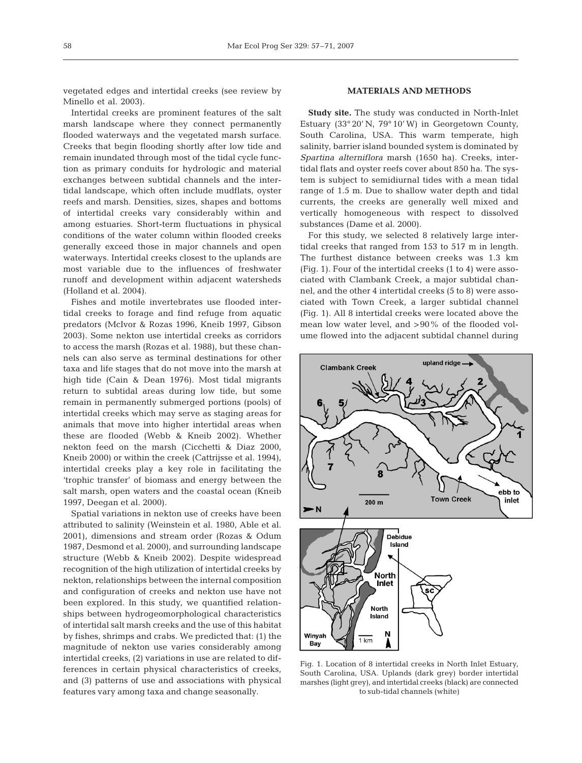vegetated edges and intertidal creeks (see review by Minello et al. 2003).

Intertidal creeks are prominent features of the salt marsh landscape where they connect permanently flooded waterways and the vegetated marsh surface. Creeks that begin flooding shortly after low tide and remain inundated through most of the tidal cycle function as primary conduits for hydrologic and material exchanges between subtidal channels and the intertidal landscape, which often include mudflats, oyster reefs and marsh. Densities, sizes, shapes and bottoms of intertidal creeks vary considerably within and among estuaries. Short-term fluctuations in physical conditions of the water column within flooded creeks generally exceed those in major channels and open waterways. Intertidal creeks closest to the uplands are most variable due to the influences of freshwater runoff and development within adjacent watersheds (Holland et al. 2004).

Fishes and motile invertebrates use flooded intertidal creeks to forage and find refuge from aquatic predators (McIvor & Rozas 1996, Kneib 1997, Gibson 2003). Some nekton use intertidal creeks as corridors to access the marsh (Rozas et al. 1988), but these channels can also serve as terminal destinations for other taxa and life stages that do not move into the marsh at high tide (Cain & Dean 1976). Most tidal migrants return to subtidal areas during low tide, but some remain in permanently submerged portions (pools) of intertidal creeks which may serve as staging areas for animals that move into higher intertidal areas when these are flooded (Webb & Kneib 2002). Whether nekton feed on the marsh (Cicchetti & Diaz 2000, Kneib 2000) or within the creek (Cattrijsse et al. 1994), intertidal creeks play a key role in facilitating the 'trophic transfer' of biomass and energy between the salt marsh, open waters and the coastal ocean (Kneib 1997, Deegan et al. 2000).

Spatial variations in nekton use of creeks have been attributed to salinity (Weinstein et al. 1980, Able et al. 2001), dimensions and stream order (Rozas & Odum 1987, Desmond et al. 2000), and surrounding landscape structure (Webb & Kneib 2002). Despite widespread recognition of the high utilization of intertidal creeks by nekton, relationships between the internal composition and configuration of creeks and nekton use have not been explored. In this study, we quantified relationships between hydrogeomorphological characteristics of intertidal salt marsh creeks and the use of this habitat by fishes, shrimps and crabs. We predicted that: (1) the magnitude of nekton use varies considerably among intertidal creeks, (2) variations in use are related to differences in certain physical characteristics of creeks, and (3) patterns of use and associations with physical features vary among taxa and change seasonally.

#### **MATERIALS AND METHODS**

**Study site.** The study was conducted in North-Inlet Estuary (33° 20' N, 79° 10' W) in Georgetown County, South Carolina, USA. This warm temperate, high salinity, barrier island bounded system is dominated by *Spartina alterniflora* marsh (1650 ha). Creeks, intertidal flats and oyster reefs cover about 850 ha. The system is subject to semidiurnal tides with a mean tidal range of 1.5 m. Due to shallow water depth and tidal currents, the creeks are generally well mixed and vertically homogeneous with respect to dissolved substances (Dame et al. 2000).

For this study, we selected 8 relatively large intertidal creeks that ranged from 153 to 517 m in length. The furthest distance between creeks was 1.3 km (Fig. 1). Four of the intertidal creeks (1 to 4) were associated with Clambank Creek, a major subtidal channel, and the other 4 intertidal creeks (5 to 8) were associated with Town Creek, a larger subtidal channel (Fig. 1). All 8 intertidal creeks were located above the mean low water level, and >90% of the flooded volume flowed into the adjacent subtidal channel during



Fig. 1. Location of 8 intertidal creeks in North Inlet Estuary, South Carolina, USA. Uplands (dark grey) border intertidal marshes (light grey), and intertidal creeks (black) are connected to sub-tidal channels (white)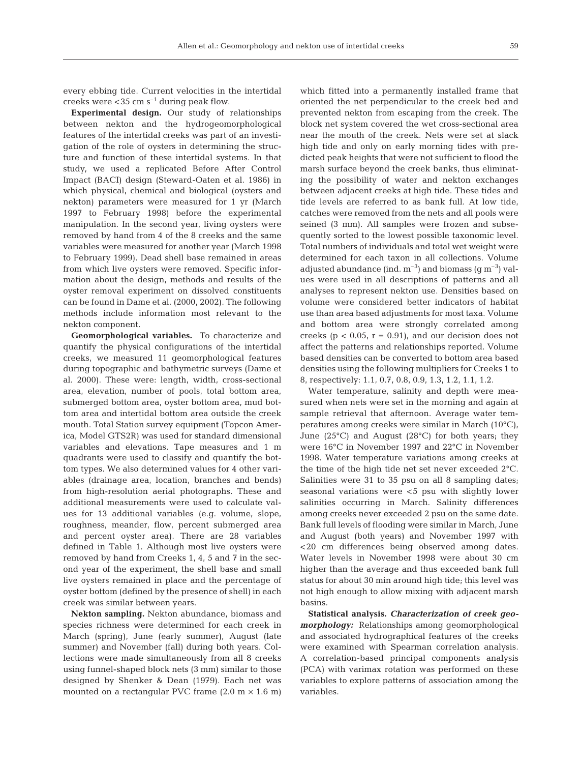every ebbing tide. Current velocities in the intertidal creeks were  $<$  35 cm s<sup> $-1$ </sup> during peak flow.

**Experimental design.** Our study of relationships between nekton and the hydrogeomorphological features of the intertidal creeks was part of an investigation of the role of oysters in determining the structure and function of these intertidal systems. In that study, we used a replicated Before After Control Impact (BACI) design (Steward-Oaten et al. 1986) in which physical, chemical and biological (oysters and nekton) parameters were measured for 1 yr (March 1997 to February 1998) before the experimental manipulation. In the second year, living oysters were removed by hand from 4 of the 8 creeks and the same variables were measured for another year (March 1998 to February 1999). Dead shell base remained in areas from which live oysters were removed. Specific information about the design, methods and results of the oyster removal experiment on dissolved constituents can be found in Dame et al. (2000, 2002). The following methods include information most relevant to the nekton component.

**Geomorphological variables.** To characterize and quantify the physical configurations of the intertidal creeks, we measured 11 geomorphological features during topographic and bathymetric surveys (Dame et al. 2000). These were: length, width, cross-sectional area, elevation, number of pools, total bottom area, submerged bottom area, oyster bottom area, mud bottom area and intertidal bottom area outside the creek mouth. Total Station survey equipment (Topcon America, Model GTS2R) was used for standard dimensional variables and elevations. Tape measures and 1 m quadrants were used to classify and quantify the bottom types. We also determined values for 4 other variables (drainage area, location, branches and bends) from high-resolution aerial photographs. These and additional measurements were used to calculate values for 13 additional variables (e.g. volume, slope, roughness, meander, flow, percent submerged area and percent oyster area). There are 28 variables defined in Table 1. Although most live oysters were removed by hand from Creeks 1, 4, 5 and 7 in the second year of the experiment, the shell base and small live oysters remained in place and the percentage of oyster bottom (defined by the presence of shell) in each creek was similar between years.

**Nekton sampling.** Nekton abundance, biomass and species richness were determined for each creek in March (spring), June (early summer), August (late summer) and November (fall) during both years. Collections were made simultaneously from all 8 creeks using funnel-shaped block nets (3 mm) similar to those designed by Shenker & Dean (1979). Each net was mounted on a rectangular PVC frame  $(2.0 \text{ m} \times 1.6 \text{ m})$ 

which fitted into a permanently installed frame that oriented the net perpendicular to the creek bed and prevented nekton from escaping from the creek. The block net system covered the wet cross-sectional area near the mouth of the creek. Nets were set at slack high tide and only on early morning tides with predicted peak heights that were not sufficient to flood the marsh surface beyond the creek banks, thus eliminating the possibility of water and nekton exchanges between adjacent creeks at high tide. These tides and tide levels are referred to as bank full. At low tide, catches were removed from the nets and all pools were seined (3 mm). All samples were frozen and subsequently sorted to the lowest possible taxonomic level. Total numbers of individuals and total wet weight were determined for each taxon in all collections. Volume adjusted abundance (ind.  $m^{-3}$ ) and biomass (q  $m^{-3}$ ) values were used in all descriptions of patterns and all analyses to represent nekton use. Densities based on volume were considered better indicators of habitat use than area based adjustments for most taxa. Volume and bottom area were strongly correlated among creeks ( $p < 0.05$ ,  $r = 0.91$ ), and our decision does not affect the patterns and relationships reported. Volume based densities can be converted to bottom area based densities using the following multipliers for Creeks 1 to 8, respectively: 1.1, 0.7, 0.8, 0.9, 1.3, 1.2, 1.1, 1.2.

Water temperature, salinity and depth were measured when nets were set in the morning and again at sample retrieval that afternoon. Average water temperatures among creeks were similar in March (10°C), June (25°C) and August (28°C) for both years; they were 16°C in November 1997 and 22°C in November 1998. Water temperature variations among creeks at the time of the high tide net set never exceeded 2°C. Salinities were 31 to 35 psu on all 8 sampling dates; seasonal variations were <5 psu with slightly lower salinities occurring in March. Salinity differences among creeks never exceeded 2 psu on the same date. Bank full levels of flooding were similar in March, June and August (both years) and November 1997 with <20 cm differences being observed among dates. Water levels in November 1998 were about 30 cm higher than the average and thus exceeded bank full status for about 30 min around high tide; this level was not high enough to allow mixing with adjacent marsh basins.

**Statistical analysis.** *Characterization of creek geomorphology:* Relationships among geomorphological and associated hydrographical features of the creeks were examined with Spearman correlation analysis. A correlation-based principal components analysis (PCA) with varimax rotation was performed on these variables to explore patterns of association among the variables.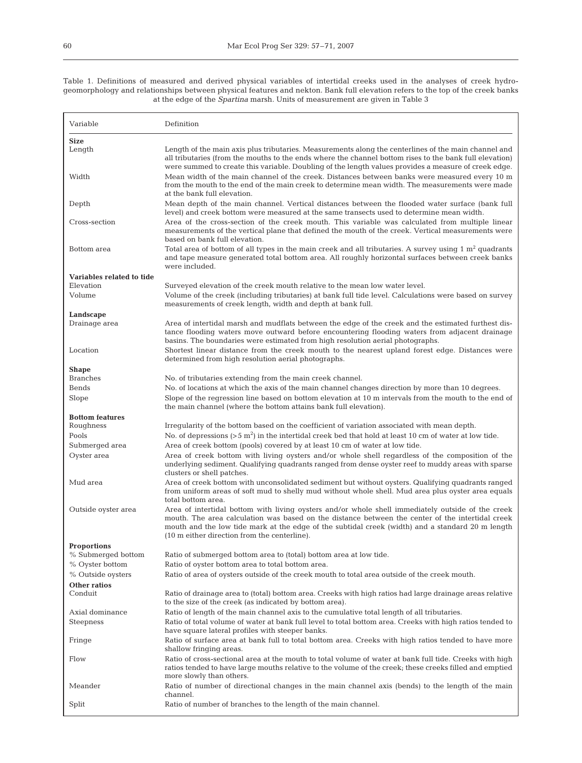Table 1. Definitions of measured and derived physical variables of intertidal creeks used in the analyses of creek hydrogeomorphology and relationships between physical features and nekton. Bank full elevation refers to the top of the creek banks at the edge of the *Spartina* marsh. Units of measurement are given in Table 3

| Variable                              | Definition                                                                                                                                                                                                                                                                                                                                                |
|---------------------------------------|-----------------------------------------------------------------------------------------------------------------------------------------------------------------------------------------------------------------------------------------------------------------------------------------------------------------------------------------------------------|
| <b>Size</b>                           |                                                                                                                                                                                                                                                                                                                                                           |
| Length                                | Length of the main axis plus tributaries. Measurements along the centerlines of the main channel and<br>all tributaries (from the mouths to the ends where the channel bottom rises to the bank full elevation)<br>were summed to create this variable. Doubling of the length values provides a measure of creek edge.                                   |
| Width                                 | Mean width of the main channel of the creek. Distances between banks were measured every 10 m<br>from the mouth to the end of the main creek to determine mean width. The measurements were made<br>at the bank full elevation.                                                                                                                           |
| Depth                                 | Mean depth of the main channel. Vertical distances between the flooded water surface (bank full<br>level) and creek bottom were measured at the same transects used to determine mean width.                                                                                                                                                              |
| Cross-section                         | Area of the cross-section of the creek mouth. This variable was calculated from multiple linear<br>measurements of the vertical plane that defined the mouth of the creek. Vertical measurements were<br>based on bank full elevation.                                                                                                                    |
| Bottom area                           | Total area of bottom of all types in the main creek and all tributaries. A survey using $1 \text{ m}^2$ quadrants<br>and tape measure generated total bottom area. All roughly horizontal surfaces between creek banks<br>were included.                                                                                                                  |
| Variables related to tide             |                                                                                                                                                                                                                                                                                                                                                           |
| Elevation<br>Volume                   | Surveyed elevation of the creek mouth relative to the mean low water level.                                                                                                                                                                                                                                                                               |
|                                       | Volume of the creek (including tributaries) at bank full tide level. Calculations were based on survey<br>measurements of creek length, width and depth at bank full.                                                                                                                                                                                     |
| Landscape<br>Drainage area            | Area of intertidal marsh and mudflats between the edge of the creek and the estimated furthest dis-                                                                                                                                                                                                                                                       |
|                                       | tance flooding waters move outward before encountering flooding waters from adjacent drainage<br>basins. The boundaries were estimated from high resolution aerial photographs.                                                                                                                                                                           |
| Location                              | Shortest linear distance from the creek mouth to the nearest upland forest edge. Distances were<br>determined from high resolution aerial photographs.                                                                                                                                                                                                    |
| <b>Shape</b><br><b>Branches</b>       |                                                                                                                                                                                                                                                                                                                                                           |
| Bends                                 | No. of tributaries extending from the main creek channel.<br>No. of locations at which the axis of the main channel changes direction by more than 10 degrees.                                                                                                                                                                                            |
| Slope                                 | Slope of the regression line based on bottom elevation at 10 m intervals from the mouth to the end of<br>the main channel (where the bottom attains bank full elevation).                                                                                                                                                                                 |
| <b>Bottom features</b>                |                                                                                                                                                                                                                                                                                                                                                           |
| Roughness                             | Irregularity of the bottom based on the coefficient of variation associated with mean depth.                                                                                                                                                                                                                                                              |
| Pools<br>Submerged area               | No. of depressions $(55 \text{ m}^2)$ in the intertidal creek bed that hold at least 10 cm of water at low tide.<br>Area of creek bottom (pools) covered by at least 10 cm of water at low tide.                                                                                                                                                          |
| Oyster area                           | Area of creek bottom with living oysters and/or whole shell regardless of the composition of the<br>underlying sediment. Qualifying quadrants ranged from dense oyster reef to muddy areas with sparse<br>clusters or shell patches.                                                                                                                      |
| Mud area                              | Area of creek bottom with unconsolidated sediment but without oysters. Qualifying quadrants ranged<br>from uniform areas of soft mud to shelly mud without whole shell. Mud area plus oyster area equals<br>total bottom area.                                                                                                                            |
| Outside oyster area                   | Area of intertidal bottom with living oysters and/or whole shell immediately outside of the creek<br>mouth. The area calculation was based on the distance between the center of the intertidal creek<br>mouth and the low tide mark at the edge of the subtidal creek (width) and a standard 20 m length<br>(10 m either direction from the centerline). |
| <b>Proportions</b>                    |                                                                                                                                                                                                                                                                                                                                                           |
| % Submerged bottom<br>% Oyster bottom | Ratio of submerged bottom area to (total) bottom area at low tide.<br>Ratio of oyster bottom area to total bottom area.                                                                                                                                                                                                                                   |
| % Outside oysters                     | Ratio of area of oysters outside of the creek mouth to total area outside of the creek mouth.                                                                                                                                                                                                                                                             |
| Other ratios                          |                                                                                                                                                                                                                                                                                                                                                           |
| Conduit                               | Ratio of drainage area to (total) bottom area. Creeks with high ratios had large drainage areas relative<br>to the size of the creek (as indicated by bottom area).                                                                                                                                                                                       |
| Axial dominance                       | Ratio of length of the main channel axis to the cumulative total length of all tributaries.                                                                                                                                                                                                                                                               |
| Steepness                             | Ratio of total volume of water at bank full level to total bottom area. Creeks with high ratios tended to<br>have square lateral profiles with steeper banks.                                                                                                                                                                                             |
| Fringe                                | Ratio of surface area at bank full to total bottom area. Creeks with high ratios tended to have more<br>shallow fringing areas.                                                                                                                                                                                                                           |
| Flow                                  | Ratio of cross-sectional area at the mouth to total volume of water at bank full tide. Creeks with high<br>ratios tended to have large mouths relative to the volume of the creek; these creeks filled and emptied<br>more slowly than others.                                                                                                            |
| Meander                               | Ratio of number of directional changes in the main channel axis (bends) to the length of the main<br>channel.                                                                                                                                                                                                                                             |
| Split                                 | Ratio of number of branches to the length of the main channel.                                                                                                                                                                                                                                                                                            |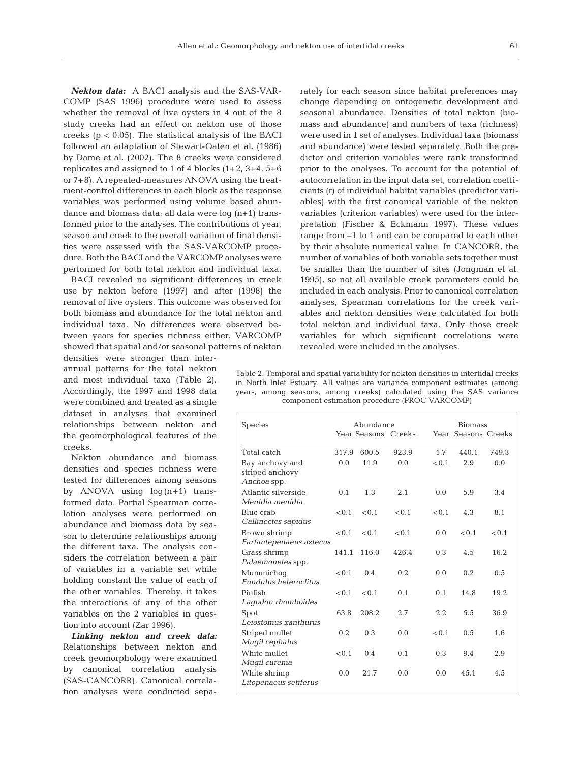*Nekton data:* A BACI analysis and the SAS-VAR-COMP (SAS 1996) procedure were used to assess whether the removal of live oysters in 4 out of the 8 study creeks had an effect on nekton use of those creeks (p < 0.05). The statistical analysis of the BACI followed an adaptation of Stewart-Oaten et al. (1986) by Dame et al. (2002). The 8 creeks were considered replicates and assigned to 1 of 4 blocks (1+2, 3+4, 5+6 or 7+8). A repeated-measures ANOVA using the treatment-control differences in each block as the response variables was performed using volume based abundance and biomass data; all data were log (n+1) transformed prior to the analyses. The contributions of year, season and creek to the overall variation of final densities were assessed with the SAS-VARCOMP procedure. Both the BACI and the VARCOMP analyses were performed for both total nekton and individual taxa.

BACI revealed no significant differences in creek use by nekton before (1997) and after (1998) the removal of live oysters. This outcome was observed for both biomass and abundance for the total nekton and individual taxa. No differences were observed between years for species richness either. VARCOMP showed that spatial and/or seasonal patterns of nekton

densities were stronger than interannual patterns for the total nekton and most individual taxa (Table 2). Accordingly, the 1997 and 1998 data were combined and treated as a single dataset in analyses that examined relationships between nekton and the geomorphological features of the creeks.

Nekton abundance and biomass densities and species richness were tested for differences among seasons by ANOVA using  $log(n+1)$  transformed data. Partial Spearman correlation analyses were performed on abundance and biomass data by season to determine relationships among the different taxa. The analysis considers the correlation between a pair of variables in a variable set while holding constant the value of each of the other variables. Thereby, it takes the interactions of any of the other variables on the 2 variables in question into account (Zar 1996).

*Linking nekton and creek data:* Relationships between nekton and creek geomorphology were examined by canonical correlation analysis (SAS-CANCORR). Canonical correlation analyses were conducted separately for each season since habitat preferences may change depending on ontogenetic development and seasonal abundance. Densities of total nekton (biomass and abundance) and numbers of taxa (richness) were used in 1 set of analyses. Individual taxa (biomass and abundance) were tested separately. Both the predictor and criterion variables were rank transformed prior to the analyses. To account for the potential of autocorrelation in the input data set, correlation coefficients (r) of individual habitat variables (predictor variables) with the first canonical variable of the nekton variables (criterion variables) were used for the interpretation (Fischer & Eckmann 1997). These values range from –1 to 1 and can be compared to each other by their absolute numerical value. In CANCORR, the number of variables of both variable sets together must be smaller than the number of sites (Jongman et al. 1995), so not all available creek parameters could be included in each analysis. Prior to canonical correlation analyses, Spearman correlations for the creek variables and nekton densities were calculated for both total nekton and individual taxa. Only those creek variables for which significant correlations were revealed were included in the analyses.

Table 2. Temporal and spatial variability for nekton densities in intertidal creeks in North Inlet Estuary. All values are variance component estimates (among years, among seasons, among creeks) calculated using the SAS variance component estimation procedure (PROC VARCOMP)

| Species                                           |       | Abundance<br>Year Seasons Creeks |       |       | <b>Biomass</b><br>Year Seasons Creeks |       |
|---------------------------------------------------|-------|----------------------------------|-------|-------|---------------------------------------|-------|
| Total catch                                       | 317.9 | 600.5                            | 923.9 | 1.7   | 440.1                                 | 749.3 |
| Bay anchovy and<br>striped anchovy<br>Anchoa spp. | 0.0   | 11.9                             | 0.0   | < 0.1 | 2.9                                   | 0.0   |
| Atlantic silverside<br>Menidia menidia            | 0.1   | 1.3                              | 2.1   | 0.0   | 5.9                                   | 3.4   |
| Blue crab<br>Callinectes sapidus                  |       | $< 0.1$ $< 0.1$                  | < 0.1 | < 0.1 | 4.3                                   | 8.1   |
| Brown shrimp<br>Farfantepenaeus aztecus           | < 0.1 | < 0.1                            | < 0.1 | 0.0   | < 0.1                                 | < 0.1 |
| Grass shrimp<br>Palaemonetes spp.                 | 141.1 | 116.0                            | 426.4 | 0.3   | 4.5                                   | 16.2  |
| Mummichoq<br><b>Fundulus heteroclitus</b>         | < 0.1 | 0.4                              | 0.2.  | 0.0   | 0.2                                   | 0.5   |
| Pinfish<br>Lagodon rhomboides                     | < 0.1 | < 0.1                            | 0.1   | 0.1   | 14.8                                  | 19.2  |
| Spot<br>Leiostomus xanthurus                      | 63.8  | 208.2                            | 2.7   | 2.2   | 5.5                                   | 36.9  |
| Striped mullet<br>Mugil cephalus                  | 0.2.  | 0.3                              | 0.0   | < 0.1 | 0.5                                   | 1.6   |
| White mullet<br>Mugil curema                      | < 0.1 | 0.4                              | 0.1   | 0.3   | 9.4                                   | 2.9   |
| White shrimp<br>Litopenaeus setiferus             | 0.0   | 21.7                             | 0.0   | 0.0   | 45.1                                  | 4.5   |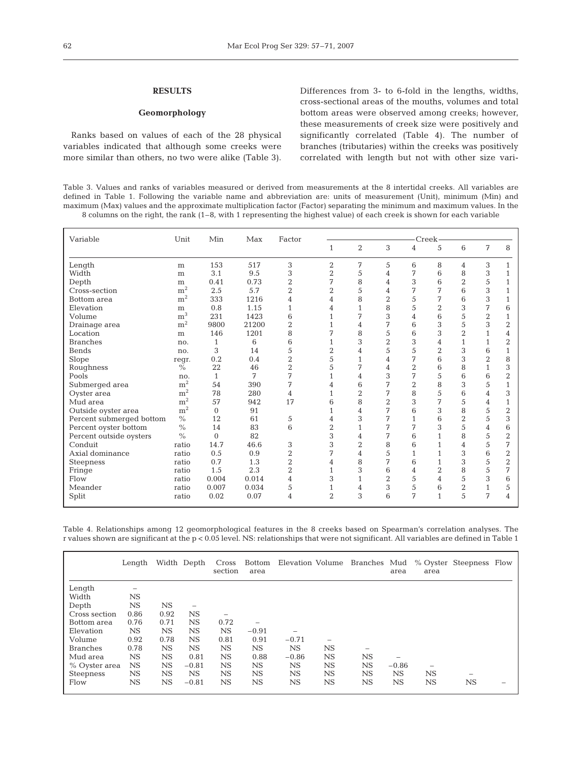### **RESULTS**

### **Geomorphology**

Ranks based on values of each of the 28 physical variables indicated that although some creeks were more similar than others, no two were alike (Table 3). Differences from 3- to 6-fold in the lengths, widths, cross-sectional areas of the mouths, volumes and total bottom areas were observed among creeks; however, these measurements of creek size were positively and significantly correlated (Table 4). The number of branches (tributaries) within the creeks was positively correlated with length but not with other size vari-

Table 3. Values and ranks of variables measured or derived from measurements at the 8 intertidal creeks. All variables are defined in Table 1. Following the variable name and abbreviation are: units of measurement (Unit), minimum (Min) and maximum (Max) values and the approximate multiplication factor (Factor) separating the minimum and maximum values. In the 8 columns on the right, the rank (1–8, with 1 representing the highest value) of each creek is shown for each variable

| Variable                 | Unit                | Min          | Max   | Factor         |                |                |                |                | Creek-         |                |                |                |
|--------------------------|---------------------|--------------|-------|----------------|----------------|----------------|----------------|----------------|----------------|----------------|----------------|----------------|
|                          |                     |              |       |                | 1              | $\overline{2}$ | 3              | 4              | 5              | 6              | 7              | 8              |
| Length                   | m                   | 153          | 517   | 3              | $\overline{2}$ | 7              | 5              | 6              | 8              | 4              | 3              | $\mathbf{1}$   |
| Width                    | m                   | 3.1          | 9.5   | 3              | $\overline{2}$ | 5              | 4              | 7              | 6              | 8              | 3              | 1              |
| Depth                    | ${\bf m}$           | 0.41         | 0.73  | $\overline{2}$ | 7              | 8              | 4              | 3              | 6              | $\overline{2}$ | 5              | $\mathbf{1}$   |
| Cross-section            | m <sup>2</sup>      | 2.5          | 5.7   | $\overline{2}$ | $\overline{2}$ | 5              | 4              | 7              | 7              | 6              | 3              | 1              |
| Bottom area              | m <sup>2</sup>      | 333          | 1216  | 4              | 4              | 8              | $\overline{2}$ | 5              | 7              | 6              | 3              | $\mathbf{1}$   |
| Elevation                |                     | 0.8          | 1.15  | $\mathbf{1}$   | 4              | $\mathbf{1}$   | 8              | 5              | $\,2$          | 3              | 7              | 6              |
| Volume                   | m<br>m <sup>3</sup> | 231          | 1423  | 6              |                | 7              | 3              | $\overline{4}$ | 6              | 5              | $\overline{2}$ | $\mathbf{1}$   |
|                          | m <sup>2</sup>      | 9800         | 21200 | $\overline{2}$ | $\mathbf{1}$   |                | 7              | 6              | 3              | 5              | 3              | $\overline{2}$ |
| Drainage area            |                     |              |       |                | 1<br>7         | 4              |                |                |                | $\overline{2}$ |                |                |
| Location                 | m                   | 146          | 1201  | 8              |                | 8              | 5              | 6              | 3              |                | $\mathbf{1}$   | 4              |
| <b>Branches</b>          | no.                 | 1            | 6     | 6              | $\mathbf{1}$   | 3              | $\overline{2}$ | 3              | 4              | $\mathbf{1}$   | $\mathbf{1}$   | $\overline{2}$ |
| <b>Bends</b>             | no.                 | 3            | 14    | 5              | $\overline{2}$ | 4              | 5              | 5              | $\overline{2}$ | 3              | 6              | $\mathbf{1}$   |
| Slope                    | regr.               | 0.2          | 0.4   | $\overline{2}$ | 5              | 1              | 4              | 7              | 6              | 3              | $\overline{2}$ | 8              |
| Roughness                | $\frac{0}{0}$       | 22           | 46    | $\overline{2}$ | 5              | 7              | 4              | $\overline{2}$ | 6              | 8              | $\mathbf{1}$   | 3              |
| Pools                    | no.                 | $\mathbf{1}$ | 7     | 7              | 1              | 4              | 3              | 7              | 5              | 6              | 6              | $\overline{2}$ |
| Submerged area           | ${\rm m}^2$         | 54           | 390   | 7              | 4              | 6              | 7              | $\overline{2}$ | 8              | 3              | 5              | $\mathbf{1}$   |
| Oyster area              | $\rm m^2$           | 78           | 280   | 4              | $\mathbf{1}$   | $\overline{2}$ | 7              | 8              | 5              | 6              | $\overline{4}$ | 3              |
| Mud area                 | ${\rm m^2}$         | 57           | 942   | 17             | 6              | 8              | $\overline{2}$ | 3              | 7              | 5              | 4              | $\mathbf{1}$   |
| Outside oyster area      | ${\rm m^2}$         | $\Omega$     | 91    |                | $\mathbf{1}$   | 4              | 7              | 6              | 3              | 8              | 5              | $\overline{2}$ |
| Percent submerged bottom | $\frac{0}{0}$       | 12           | 61    | 5              | 4              | 3              | 7              | $\mathbf{1}$   | 6              | $\overline{2}$ | 5              | 3              |
| Percent oyster bottom    | $\frac{0}{0}$       | 14           | 83    | 6              | $\overline{2}$ | $\mathbf{1}$   | 7              | 7              | 3              | 5              | 4              | 6              |
| Percent outside oysters  | $\frac{0}{0}$       | $\Omega$     | 82    |                | 3              | 4              | 7              | 6              | $\mathbf{1}$   | 8              | 5              | $\overline{2}$ |
| Conduit                  | ratio               | 14.7         | 46.6  | 3              | 3              | $\overline{2}$ | 8              | 6              | $\mathbf{1}$   | $\overline{4}$ | 5              | 7              |
| Axial dominance          | ratio               | 0.5          | 0.9   | $\overline{2}$ | 7              | 4              | 5              | $\mathbf{1}$   | $\mathbf{1}$   | 3              | 6              | $\overline{2}$ |
| <b>Steepness</b>         | ratio               | 0.7          | 1.3   | $\overline{2}$ | 4              | 8              | 7              | 6              | $\mathbf{1}$   | 3              | 5              | $\overline{2}$ |
| Fringe                   | ratio               | 1.5          | 2.3   | $\overline{2}$ | $\mathbf{1}$   | 3              | 6              | $\overline{4}$ | $\overline{2}$ | 8              | 5              | 7              |
| Flow                     | ratio               | 0.004        | 0.014 | 4              | 3              | $\mathbf{1}$   | $\overline{2}$ | 5              | $\overline{4}$ | 5              | 3              | 6              |
| Meander                  | ratio               | 0.007        | 0.034 | 5              | $\mathbf{1}$   | 4              | 3              | 5              | 6              | $\overline{2}$ | $\mathbf{1}$   | 5              |
| Split                    | ratio               | 0.02         | 0.07  | $\overline{4}$ | $\overline{2}$ | 3              | 6              | 7              | $\mathbf{1}$   | 5              | 7              | $\overline{4}$ |

Table 4. Relationships among 12 geomorphological features in the 8 creeks based on Spearman's correlation analyses. The r values shown are significant at the p < 0.05 level. NS: relationships that were not significant. All variables are defined in Table 1

|                  | Length                   |             | Width Depth | Cross<br>section | area        |           |                          | Bottom Elevation Volume Branches Mud | area    | area      | % Oyster Steepness Flow  |  |
|------------------|--------------------------|-------------|-------------|------------------|-------------|-----------|--------------------------|--------------------------------------|---------|-----------|--------------------------|--|
| Length           | $\overline{\phantom{0}}$ |             |             |                  |             |           |                          |                                      |         |           |                          |  |
| Width            | NS                       |             |             |                  |             |           |                          |                                      |         |           |                          |  |
| Depth            | $_{\rm NS}$              | $_{\rm NS}$ | -           |                  |             |           |                          |                                      |         |           |                          |  |
| Cross section    | 0.86                     | 0.92        | <b>NS</b>   | -                |             |           |                          |                                      |         |           |                          |  |
| Bottom area      | 0.76                     | 0.71        | <b>NS</b>   | 0.72             |             |           |                          |                                      |         |           |                          |  |
| Elevation        | NS.                      | $_{\rm NS}$ | <b>NS</b>   | NS.              | $-0.91$     |           |                          |                                      |         |           |                          |  |
| Volume           | 0.92                     | 0.78        | <b>NS</b>   | 0.81             | 0.91        | $-0.71$   | $\overline{\phantom{0}}$ |                                      |         |           |                          |  |
| <b>Branches</b>  | 0.78                     | $_{\rm NS}$ | <b>NS</b>   | <b>NS</b>        | $_{\rm NS}$ | <b>NS</b> | <b>NS</b>                |                                      |         |           |                          |  |
| Mud area         | NS.                      | NS.         | 0.81        | <b>NS</b>        | 0.88        | $-0.86$   | <b>NS</b>                | <b>NS</b>                            |         |           |                          |  |
| % Oyster area    | NS.                      | NS.         | $-0.81$     | <b>NS</b>        | NS.         | <b>NS</b> | <b>NS</b>                | <b>NS</b>                            | $-0.86$ |           |                          |  |
| <b>Steepness</b> | $_{\rm NS}$              | NS.         | NS          | <b>NS</b>        | NS          | NS        | NS                       | NS.                                  | NS      | <b>NS</b> | $\overline{\phantom{a}}$ |  |
| Flow             | NS                       | NS.         | $-0.81$     | <b>NS</b>        | $_{\rm NS}$ | <b>NS</b> | <b>NS</b>                | NS.                                  | NS      | <b>NS</b> | <b>NS</b>                |  |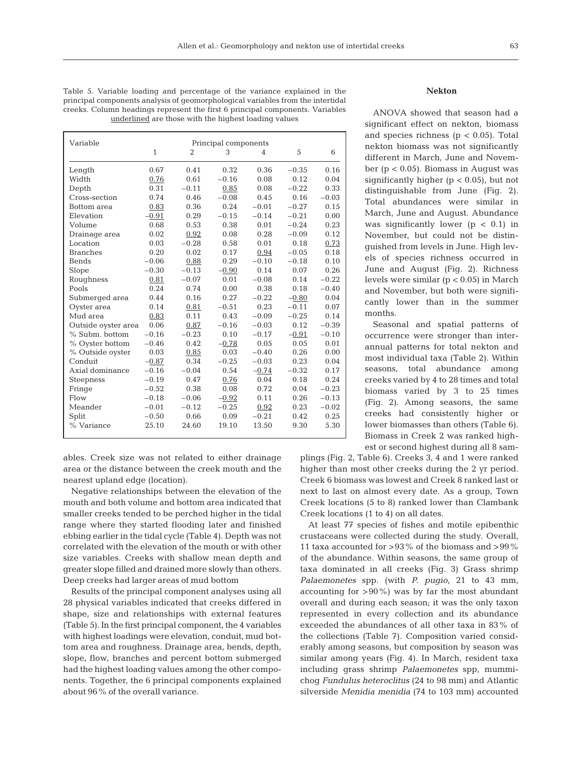| Table 5. Variable loading and percentage of the variance explained in the       |
|---------------------------------------------------------------------------------|
| principal components analysis of geomorphological variables from the intertidal |
| creeks. Column headings represent the first 6 principal components. Variables   |
| underlined are those with the highest loading values                            |

| Variable            |              |                | Principal components |                |         |         |
|---------------------|--------------|----------------|----------------------|----------------|---------|---------|
|                     | $\mathbf{1}$ | $\overline{2}$ | 3                    | $\overline{4}$ | 5       | 6       |
| Length              | 0.67         | 0.41           | 0.32                 | 0.36           | $-0.35$ | 0.16    |
| Width               | 0.76         | 0.61           | $-0.16$              | 0.08           | 0.12    | 0.04    |
| Depth               | 0.31         | $-0.11$        | 0.85                 | 0.08           | $-0.22$ | 0.33    |
| Cross-section       | 0.74         | 0.46           | $-0.08$              | 0.45           | 0.16    | $-0.03$ |
| Bottom area         | 0.83         | 0.36           | 0.24                 | $-0.01$        | $-0.27$ | 0.15    |
| Elevation           | $-0.91$      | 0.29           | $-0.15$              | $-0.14$        | $-0.21$ | 0.00    |
| Volume              | 0.68         | 0.53           | 0.38                 | 0.01           | $-0.24$ | 0.23    |
| Drainage area       | 0.02         | 0.92           | 0.08                 | 0.28           | $-0.09$ | 0.12    |
| Location            | 0.03         | $-0.28$        | 0.58                 | 0.01           | 0.18    | 0.73    |
| <b>Branches</b>     | 0.20         | 0.02           | 0.17                 | 0.94           | $-0.05$ | 0.18    |
| <b>Bends</b>        | $-0.06$      | 0.88           | 0.29                 | $-0.10$        | $-0.18$ | 0.10    |
| Slope               | $-0.30$      | $-0.13$        | $-0.90$              | 0.14           | 0.07    | 0.26    |
| Roughness           | 0.81         | $-0.07$        | 0.01                 | $-0.08$        | 0.14    | $-0.22$ |
| Pools               | 0.24         | 0.74           | 0.00                 | 0.38           | 0.18    | $-0.40$ |
| Submerged area      | 0.44         | 0.16           | 0.27                 | $-0.22$        | $-0.80$ | 0.04    |
| Oyster area         | 0.14         | 0.81           | $-0.51$              | 0.23           | $-0.11$ | 0.07    |
| Mud area            | 0.83         | 0.11           | 0.43                 | $-0.09$        | $-0.25$ | 0.14    |
| Outside oyster area | 0.06         | 0.87           | $-0.16$              | $-0.03$        | 0.12    | $-0.39$ |
| % Subm, bottom      | $-0.16$      | $-0.23$        | 0.10                 | $-0.17$        | $-0.91$ | $-0.10$ |
| % Oyster bottom     | $-0.46$      | 0.42           | $-0.78$              | 0.05           | 0.05    | 0.01    |
| % Outside oyster    | 0.03         | 0.85           | 0.03                 | $-0.40$        | 0.26    | 0.00    |
| Conduit             | $-0.87$      | 0.34           | $-0.25$              | $-0.03$        | 0.23    | 0.04    |
| Axial dominance     | $-0.16$      | $-0.04$        | 0.54                 | $-0.74$        | $-0.32$ | 0.17    |
| <b>Steepness</b>    | $-0.19$      | 0.47           | 0.76                 | 0.04           | 0.18    | 0.24    |
| Fringe              | $-0.52$      | 0.38           | 0.08                 | 0.72           | 0.04    | $-0.23$ |
| Flow                | $-0.18$      | $-0.06$        | $-0.92$              | 0.11           | 0.26    | $-0.13$ |
| Meander             | $-0.01$      | $-0.12$        | $-0.25$              | 0.92           | 0.23    | $-0.02$ |
| Split               | $-0.50$      | 0.66           | 0.09                 | $-0.21$        | 0.42    | 0.25    |
| % Variance          | 25.10        | 24.60          | 19.10                | 13.50          | 9.30    | 5.30    |

ables. Creek size was not related to either drainage area or the distance between the creek mouth and the nearest upland edge (location).

Negative relationships between the elevation of the mouth and both volume and bottom area indicated that smaller creeks tended to be perched higher in the tidal range where they started flooding later and finished ebbing earlier in the tidal cycle (Table 4). Depth was not correlated with the elevation of the mouth or with other size variables. Creeks with shallow mean depth and greater slope filled and drained more slowly than others. Deep creeks had larger areas of mud bottom

Results of the principal component analyses using all 28 physical variables indicated that creeks differed in shape, size and relationships with external features (Table 5). In the first principal component, the 4 variables with highest loadings were elevation, conduit, mud bottom area and roughness. Drainage area, bends, depth, slope, flow, branches and percent bottom submerged had the highest loading values among the other components. Together, the 6 principal components explained about 96% of the overall variance.

# **Nekton**

ANOVA showed that season had a significant effect on nekton, biomass and species richness ( $p < 0.05$ ). Total nekton biomass was not significantly different in March, June and November (p < 0.05). Biomass in August was significantly higher ( $p < 0.05$ ), but not distinguishable from June (Fig. 2). Total abundances were similar in March, June and August. Abundance was significantly lower  $(p < 0.1)$  in November, but could not be distinguished from levels in June. High levels of species richness occurred in June and August (Fig. 2). Richness levels were similar (p < 0.05) in March and November, but both were significantly lower than in the summer months.

Seasonal and spatial patterns of occurrence were stronger than interannual patterns for total nekton and most individual taxa (Table 2). Within seasons, total abundance among creeks varied by 4 to 28 times and total biomass varied by 3 to 25 times (Fig. 2). Among seasons, the same creeks had consistently higher or lower biomasses than others (Table 6). Biomass in Creek 2 was ranked highest or second highest during all 8 sam-

plings (Fig. 2, Table 6). Creeks 3, 4 and 1 were ranked higher than most other creeks during the 2 yr period. Creek 6 biomass was lowest and Creek 8 ranked last or next to last on almost every date. As a group, Town Creek locations (5 to 8) ranked lower than Clambank Creek locations (1 to 4) on all dates.

At least 77 species of fishes and motile epibenthic crustaceans were collected during the study. Overall, 11 taxa accounted for >93% of the biomass and >99% of the abundance. Within seasons, the same group of taxa dominated in all creeks (Fig. 3) Grass shrimp *Palaemonetes* spp. (with *P. pugio*, 21 to 43 mm, accounting for  $>90\%$ ) was by far the most abundant overall and during each season; it was the only taxon represented in every collection and its abundance exceeded the abundances of all other taxa in 83% of the collections (Table 7). Composition varied considerably among seasons, but composition by season was similar among years (Fig. 4). In March, resident taxa including grass shrimp *Palaemonetes* spp, mummichog *Fundulus heteroclitus* (24 to 98 mm) and Atlantic silverside *Menidia menidia* (74 to 103 mm) accounted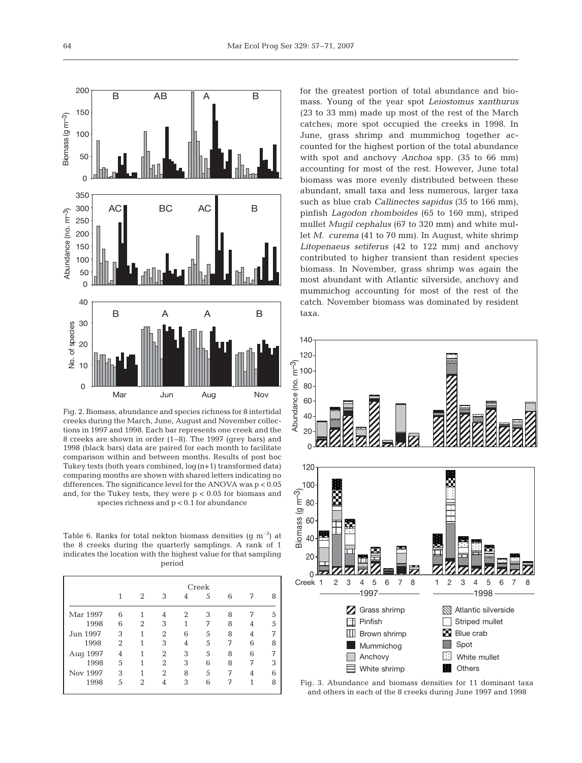

Fig. 2. Biomass, abundance and species richness for 8 intertidal creeks during the March, June, August and November collections in 1997 and 1998. Each bar represents one creek and the 8 creeks are shown in order (1–8). The 1997 (grey bars) and 1998 (black bars) data are paired for each month to facilitate comparison within and between months. Results of post hoc Tukey tests (both years combined,  $log(n+1)$  transformed data) comparing months are shown with shared letters indicating no differences. The significance level for the ANOVA was p < 0.05 and, for the Tukey tests, they were p < 0.05 for biomass and species richness and p < 0.1 for abundance

Table 6. Ranks for total nekton biomass densities  $(g m<sup>-3</sup>)$  at the 8 creeks during the quarterly samplings. A rank of 1 indicates the location with the highest value for that sampling period

|          |   | 2             | 3              | 4 | Creek<br>5 | 6 | 7 | 8 |
|----------|---|---------------|----------------|---|------------|---|---|---|
| Mar 1997 | 6 |               | 4              | 2 | 3          | 8 |   | 5 |
| 1998     | 6 | 2             | 3              | 1 | 7          | 8 |   | 5 |
| Jun 1997 | 3 |               | $\overline{2}$ | 6 | 5          | 8 | 4 | 7 |
| 1998     | 2 |               | 3              | 4 | 5          | 7 | 6 | 8 |
| Aug 1997 | 4 |               | $\overline{2}$ | 3 | 5          | 8 | 6 | 7 |
| 1998     | 5 |               | $\overline{2}$ | 3 | 6          | 8 | 7 | 3 |
| Nov 1997 | 3 |               | 2              | 8 | 5          | 7 |   | հ |
| 1998     | 5 | $\mathcal{D}$ |                | 3 | 6          | 7 | 1 | 8 |

for the greatest portion of total abundance and biomass. Young of the year spot *Leiostomus xanthurus* (23 to 33 mm) made up most of the rest of the March catches; more spot occupied the creeks in 1998. In June, grass shrimp and mummichog together accounted for the highest portion of the total abundance with spot and anchovy *Anchoa* spp. (35 to 66 mm) accounting for most of the rest. However, June total biomass was more evenly distributed between these abundant, small taxa and less numerous, larger taxa such as blue crab *Callinectes sapidus* (35 to 166 mm), pinfish *Lagodon rhomboides* (65 to 160 mm), striped mullet *Mugil cephalus* (67 to 320 mm) and white mullet *M. curema* (41 to 70 mm). In August, white shrimp *Litopenaeus setiferus* (42 to 122 mm) and anchovy contributed to higher transient than resident species biomass. In November, grass shrimp was again the most abundant with Atlantic silverside, anchovy and mummichog accounting for most of the rest of the catch. November biomass was dominated by resident taxa.



Fig. 3. Abundance and biomass densities for 11 dominant taxa and others in each of the 8 creeks during June 1997 and 1998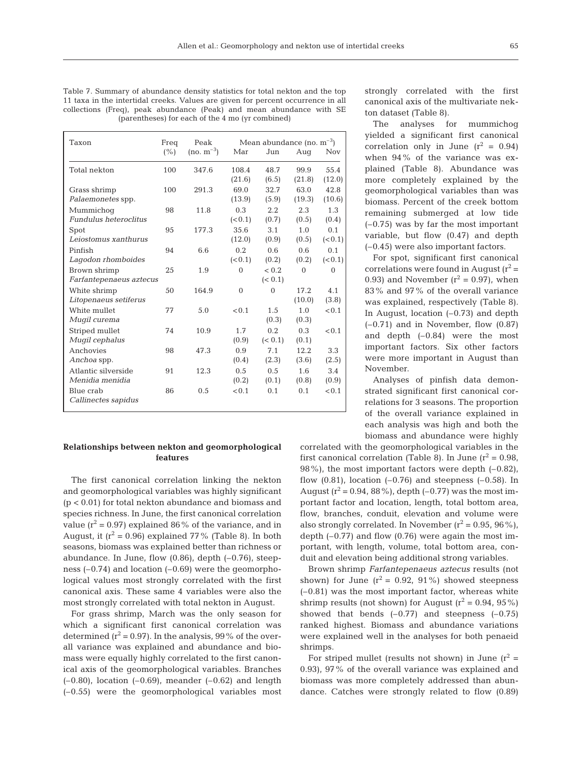|  | Table 7. Summary of abundance density statistics for total nekton and the top    |  |  |  |
|--|----------------------------------------------------------------------------------|--|--|--|
|  | 11 taxa in the intertidal creeks. Values are given for percent occurrence in all |  |  |  |
|  | collections (Freq), peak abundance (Peak) and mean abundance with SE             |  |  |  |
|  | (parentheses) for each of the 4 mo (yr combined)                                 |  |  |  |

| Taxon                                     | Freq    | Peak           | Mean abundance (no. $m^{-3}$ ) |                  |                |                           |  |  |
|-------------------------------------------|---------|----------------|--------------------------------|------------------|----------------|---------------------------|--|--|
|                                           | $(\% )$ | $(no. m^{-3})$ | Mar                            | Jun              | Aug            | <b>Nov</b>                |  |  |
| Total nekton                              | 100     | 347.6          | 108.4<br>(21.6)                | 48.7<br>(6.5)    | 99.9<br>(21.8) | 55.4<br>(12.0)            |  |  |
| Grass shrimp<br>Palaemonetes spp.         | 100     | 291.3          | 69.0<br>(13.9)                 | 32.7<br>(5.9)    | 63.0<br>(19.3) | 42.8<br>(10.6)            |  |  |
| Mummichoq<br><b>Fundulus heteroclitus</b> | 98      | 11.8           | 0.3<br>(< 0.1)                 | 2.2.<br>(0.7)    | 2.3<br>(0.5)   | 1.3<br>(0.4)              |  |  |
| Spot<br>Leiostomus xanthurus              | 95      | 177.3          | 35.6<br>(12.0)                 | 3.1<br>(0.9)     | 1.0<br>(0.5)   | 0.1<br>(< 0.1)            |  |  |
| Pinfish<br>Lagodon rhomboides             | 94      | 6.6            | 0.2.<br>(< 0.1)                | 0.6<br>(0.2)     | 0.6<br>(0.2)   | 0.1<br>(< 0.1)            |  |  |
| Brown shrimp<br>Farfantepenaeus aztecus   | 25      | 1.9            | $\theta$                       | < 0.2<br>(< 0.1) | $\theta$       | $\Omega$                  |  |  |
| White shrimp<br>Litopenaeus setiferus     | 50      | 164.9          | $\theta$                       | $\Omega$         | 17.2<br>(10.0) | 4.1<br>(3.8)              |  |  |
| White mullet<br>Mugil curema              | 77      | 5.0            | < 0.1                          | 1.5<br>(0.3)     | 1.0<br>(0.3)   | < 0.1                     |  |  |
| Striped mullet<br>Mugil cephalus          | 74      | 10.9           | 1.7<br>(0.9)                   | 0.2<br>(< 0.1)   | 0.3<br>(0.1)   | < 0.1                     |  |  |
| Anchovies<br>Anchoa spp.                  | 98      | 47.3           | 0.9<br>(0.4)                   | 7.1<br>(2.3)     | 12.2.<br>(3.6) | 3.3 <sup>2</sup><br>(2.5) |  |  |
| Atlantic silverside<br>Menidia menidia    | 91      | 12.3           | 0.5<br>(0.2)                   | 0.5<br>(0.1)     | 1.6<br>(0.8)   | 3.4<br>(0.9)              |  |  |
| Blue crab<br>Callinectes sapidus          | 86      | 0.5            | < 0.1                          | 0.1              | 0.1            | < 0.1                     |  |  |

# **Relationships between nekton and geomorphological features**

The first canonical correlation linking the nekton and geomorphological variables was highly significant (p < 0.01) for total nekton abundance and biomass and species richness. In June, the first canonical correlation value  $(r^2 = 0.97)$  explained 86% of the variance, and in August, it ( $r^2$  = 0.96) explained 77% (Table 8). In both seasons, biomass was explained better than richness or abundance. In June, flow (0.86), depth (–0.76), steepness  $(-0.74)$  and location  $(-0.69)$  were the geomorphological values most strongly correlated with the first canonical axis. These same 4 variables were also the most strongly correlated with total nekton in August.

For grass shrimp, March was the only season for which a significant first canonical correlation was determined  $(r^2 = 0.97)$ . In the analysis, 99% of the overall variance was explained and abundance and biomass were equally highly correlated to the first canonical axis of the geomorphological variables. Branches  $(-0.80)$ , location  $(-0.69)$ , meander  $(-0.62)$  and length (–0.55) were the geomorphological variables most strongly correlated with the first canonical axis of the multivariate nekton dataset (Table 8).

The analyses for mummichog yielded a significant first canonical correlation only in June  $(r^2 = 0.94)$ when 94% of the variance was explained (Table 8). Abundance was more completely explained by the geomorphological variables than was biomass. Percent of the creek bottom remaining submerged at low tide (–0.75) was by far the most important variable, but flow (0.47) and depth (–0.45) were also important factors.

For spot, significant first canonical correlations were found in August  $(r^2 =$ 0.93) and November  $(r^2 = 0.97)$ , when 83% and 97% of the overall variance was explained, respectively (Table 8). In August, location (–0.73) and depth  $(-0.71)$  and in November, flow  $(0.87)$ and depth  $(-0.84)$  were the most important factors. Six other factors were more important in August than November.

Analyses of pinfish data demonstrated significant first canonical correlations for 3 seasons. The proportion of the overall variance explained in each analysis was high and both the biomass and abundance were highly

correlated with the geomorphological variables in the first canonical correlation (Table 8). In June  $(r^2 = 0.98,$ 98%), the most important factors were depth (–0.82), flow  $(0.81)$ , location  $(-0.76)$  and steepness  $(-0.58)$ . In August  $(r^2 = 0.94, 88\%)$ , depth  $(-0.77)$  was the most important factor and location, length, total bottom area, flow, branches, conduit, elevation and volume were also strongly correlated. In November  $(r^2 = 0.95, 96\%)$ , depth  $(-0.77)$  and flow  $(0.76)$  were again the most important, with length, volume, total bottom area, conduit and elevation being additional strong variables.

Brown shrimp *Farfantepenaeus aztecus* results (not shown) for June  $(r^2 = 0.92, 91\%)$  showed steepness (–0.81) was the most important factor, whereas white shrimp results (not shown) for August  $(r^2 = 0.94, 95\%)$ showed that bends  $(-0.77)$  and steepness  $(-0.75)$ ranked highest. Biomass and abundance variations were explained well in the analyses for both penaeid shrimps.

For striped mullet (results not shown) in June  $(r^2 =$ 0.93), 97% of the overall variance was explained and biomass was more completely addressed than abundance. Catches were strongly related to flow (0.89)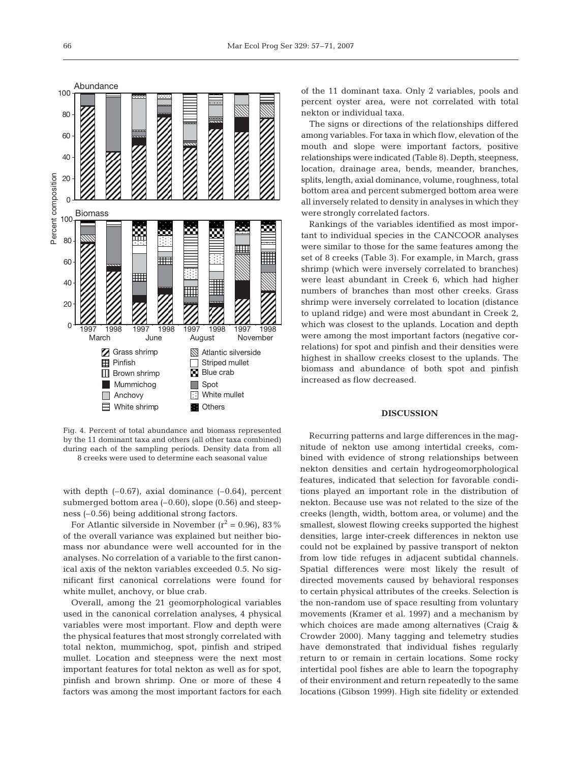

Fig. 4. Percent of total abundance and biomass represented by the 11 dominant taxa and others (all other taxa combined) during each of the sampling periods. Density data from all 8 creeks were used to determine each seasonal value

with depth  $(-0.67)$ , axial dominance  $(-0.64)$ , percent submerged bottom area  $(-0.60)$ , slope  $(0.56)$  and steepness (–0.56) being additional strong factors.

For Atlantic silverside in November ( $r^2$  = 0.96), 83% of the overall variance was explained but neither biomass nor abundance were well accounted for in the analyses. No correlation of a variable to the first canonical axis of the nekton variables exceeded 0.5. No significant first canonical correlations were found for white mullet, anchovy, or blue crab.

Overall, among the 21 geomorphological variables used in the canonical correlation analyses, 4 physical variables were most important. Flow and depth were the physical features that most strongly correlated with total nekton, mummichog, spot, pinfish and striped mullet. Location and steepness were the next most important features for total nekton as well as for spot, pinfish and brown shrimp. One or more of these 4 factors was among the most important factors for each of the 11 dominant taxa. Only 2 variables, pools and percent oyster area, were not correlated with total nekton or individual taxa.

The signs or directions of the relationships differed among variables. For taxa in which flow, elevation of the mouth and slope were important factors, positive relationships were indicated (Table 8). Depth, steepness, location, drainage area, bends, meander, branches, splits, length, axial dominance, volume, roughness, total bottom area and percent submerged bottom area were all inversely related to density in analyses in which they were strongly correlated factors.

Rankings of the variables identified as most important to individual species in the CANCOOR analyses were similar to those for the same features among the set of 8 creeks (Table 3). For example, in March, grass shrimp (which were inversely correlated to branches) were least abundant in Creek 6, which had higher numbers of branches than most other creeks. Grass shrimp were inversely correlated to location (distance to upland ridge) and were most abundant in Creek 2, which was closest to the uplands. Location and depth were among the most important factors (negative correlations) for spot and pinfish and their densities were highest in shallow creeks closest to the uplands. The biomass and abundance of both spot and pinfish increased as flow decreased.

#### **DISCUSSION**

Recurring patterns and large differences in the magnitude of nekton use among intertidal creeks, combined with evidence of strong relationships between nekton densities and certain hydrogeomorphological features, indicated that selection for favorable conditions played an important role in the distribution of nekton. Because use was not related to the size of the creeks (length, width, bottom area, or volume) and the smallest, slowest flowing creeks supported the highest densities, large inter-creek differences in nekton use could not be explained by passive transport of nekton from low tide refuges in adjacent subtidal channels. Spatial differences were most likely the result of directed movements caused by behavioral responses to certain physical attributes of the creeks. Selection is the non-random use of space resulting from voluntary movements (Kramer et al. 1997) and a mechanism by which choices are made among alternatives (Craig & Crowder 2000). Many tagging and telemetry studies have demonstrated that individual fishes regularly return to or remain in certain locations. Some rocky intertidal pool fishes are able to learn the topography of their environment and return repeatedly to the same locations (Gibson 1999). High site fidelity or extended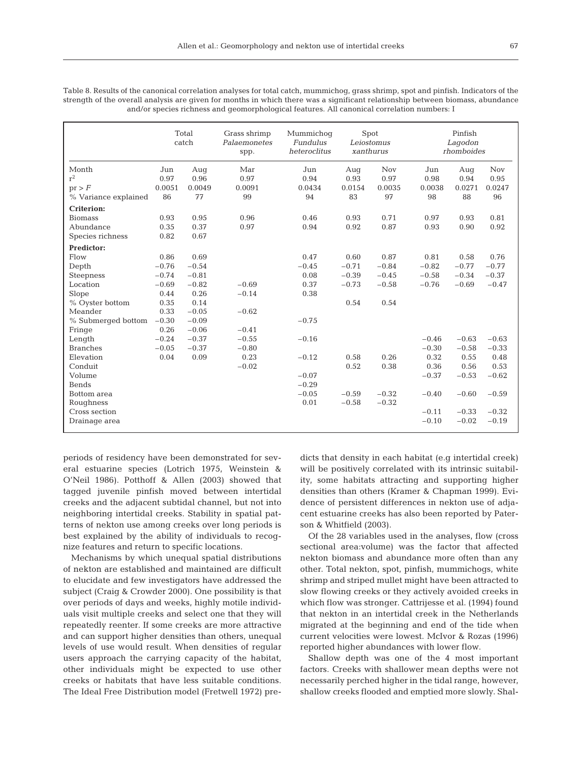|                      | Total<br>catch |         | Grass shrimp<br>Palaemonetes<br>spp. | Mummichoq<br>Fundulus<br>heteroclitus | Spot<br>Leiostomus<br>xanthurus |            | Pinfish<br>Lagodon<br>rhomboides |         |            |
|----------------------|----------------|---------|--------------------------------------|---------------------------------------|---------------------------------|------------|----------------------------------|---------|------------|
| Month                | Jun            | Aug     | Mar                                  | Jun                                   | Aug                             | <b>Nov</b> | Jun                              | Aug     | <b>Nov</b> |
| $r^2$                | 0.97           | 0.96    | 0.97                                 | 0.94                                  | 0.93                            | 0.97       | 0.98                             | 0.94    | 0.95       |
| pr > F               | 0.0051         | 0.0049  | 0.0091                               | 0.0434                                | 0.0154                          | 0.0035     | 0.0038                           | 0.0271  | 0.0247     |
| % Variance explained | 86             | 77      | 99                                   | 94                                    | 83                              | 97         | 98                               | 88      | 96         |
| <b>Criterion:</b>    |                |         |                                      |                                       |                                 |            |                                  |         |            |
| <b>Biomass</b>       | 0.93           | 0.95    | 0.96                                 | 0.46                                  | 0.93                            | 0.71       | 0.97                             | 0.93    | 0.81       |
| Abundance            | 0.35           | 0.37    | 0.97                                 | 0.94                                  | 0.92                            | 0.87       | 0.93                             | 0.90    | 0.92       |
| Species richness     | 0.82           | 0.67    |                                      |                                       |                                 |            |                                  |         |            |
| Predictor:           |                |         |                                      |                                       |                                 |            |                                  |         |            |
| Flow                 | 0.86           | 0.69    |                                      | 0.47                                  | 0.60                            | 0.87       | 0.81                             | 0.58    | 0.76       |
| Depth                | $-0.76$        | $-0.54$ |                                      | $-0.45$                               | $-0.71$                         | $-0.84$    | $-0.82$                          | $-0.77$ | $-0.77$    |
| <b>Steepness</b>     | $-0.74$        | $-0.81$ |                                      | 0.08                                  | $-0.39$                         | $-0.45$    | $-0.58$                          | $-0.34$ | $-0.37$    |
| Location             | $-0.69$        | $-0.82$ | $-0.69$                              | 0.37                                  | $-0.73$                         | $-0.58$    | $-0.76$                          | $-0.69$ | $-0.47$    |
| Slope                | 0.44           | 0.26    | $-0.14$                              | 0.38                                  |                                 |            |                                  |         |            |
| % Oyster bottom      | 0.35           | 0.14    |                                      |                                       | 0.54                            | 0.54       |                                  |         |            |
| Meander              | 0.33           | $-0.05$ | $-0.62$                              |                                       |                                 |            |                                  |         |            |
| % Submerged bottom   | $-0.30$        | $-0.09$ |                                      | $-0.75$                               |                                 |            |                                  |         |            |
| Fringe               | 0.26           | $-0.06$ | $-0.41$                              |                                       |                                 |            |                                  |         |            |
| Length               | $-0.24$        | $-0.37$ | $-0.55$                              | $-0.16$                               |                                 |            | $-0.46$                          | $-0.63$ | $-0.63$    |
| <b>Branches</b>      | $-0.05$        | $-0.37$ | $-0.80$                              |                                       |                                 |            | $-0.30$                          | $-0.58$ | $-0.33$    |
| Elevation            | 0.04           | 0.09    | 0.23                                 | $-0.12$                               | 0.58                            | 0.26       | 0.32                             | 0.55    | 0.48       |
| Conduit              |                |         | $-0.02$                              |                                       | 0.52                            | 0.38       | 0.36                             | 0.56    | 0.53       |
| Volume               |                |         |                                      | $-0.07$                               |                                 |            | $-0.37$                          | $-0.53$ | $-0.62$    |
| Bends                |                |         |                                      | $-0.29$                               |                                 |            |                                  |         |            |
| Bottom area          |                |         |                                      | $-0.05$                               | $-0.59$                         | $-0.32$    | $-0.40$                          | $-0.60$ | $-0.59$    |
| Roughness            |                |         |                                      | 0.01                                  | $-0.58$                         | $-0.32$    |                                  |         |            |
| Cross section        |                |         |                                      |                                       |                                 |            | $-0.11$                          | $-0.33$ | $-0.32$    |
| Drainage area        |                |         |                                      |                                       |                                 |            | $-0.10$                          | $-0.02$ | $-0.19$    |
|                      |                |         |                                      |                                       |                                 |            |                                  |         |            |

Table 8. Results of the canonical correlation analyses for total catch, mummichog, grass shrimp, spot and pinfish. Indicators of the strength of the overall analysis are given for months in which there was a significant relationship between biomass, abundance and/or species richness and geomorphological features. All canonical correlation numbers: I

periods of residency have been demonstrated for several estuarine species (Lotrich 1975, Weinstein & O'Neil 1986). Potthoff & Allen (2003) showed that tagged juvenile pinfish moved between intertidal creeks and the adjacent subtidal channel, but not into neighboring intertidal creeks. Stability in spatial patterns of nekton use among creeks over long periods is best explained by the ability of individuals to recognize features and return to specific locations.

Mechanisms by which unequal spatial distributions of nekton are established and maintained are difficult to elucidate and few investigators have addressed the subject (Craig & Crowder 2000). One possibility is that over periods of days and weeks, highly motile individuals visit multiple creeks and select one that they will repeatedly reenter. If some creeks are more attractive and can support higher densities than others, unequal levels of use would result. When densities of regular users approach the carrying capacity of the habitat, other individuals might be expected to use other creeks or habitats that have less suitable conditions. The Ideal Free Distribution model (Fretwell 1972) predicts that density in each habitat (e.g intertidal creek) will be positively correlated with its intrinsic suitability, some habitats attracting and supporting higher densities than others (Kramer & Chapman 1999). Evidence of persistent differences in nekton use of adjacent estuarine creeks has also been reported by Paterson & Whitfield (2003).

Of the 28 variables used in the analyses, flow (cross sectional area:volume) was the factor that affected nekton biomass and abundance more often than any other. Total nekton, spot, pinfish, mummichogs, white shrimp and striped mullet might have been attracted to slow flowing creeks or they actively avoided creeks in which flow was stronger. Cattrijesse et al. (1994) found that nekton in an intertidal creek in the Netherlands migrated at the beginning and end of the tide when current velocities were lowest. McIvor & Rozas (1996) reported higher abundances with lower flow.

Shallow depth was one of the 4 most important factors. Creeks with shallower mean depths were not necessarily perched higher in the tidal range, however, shallow creeks flooded and emptied more slowly. Shal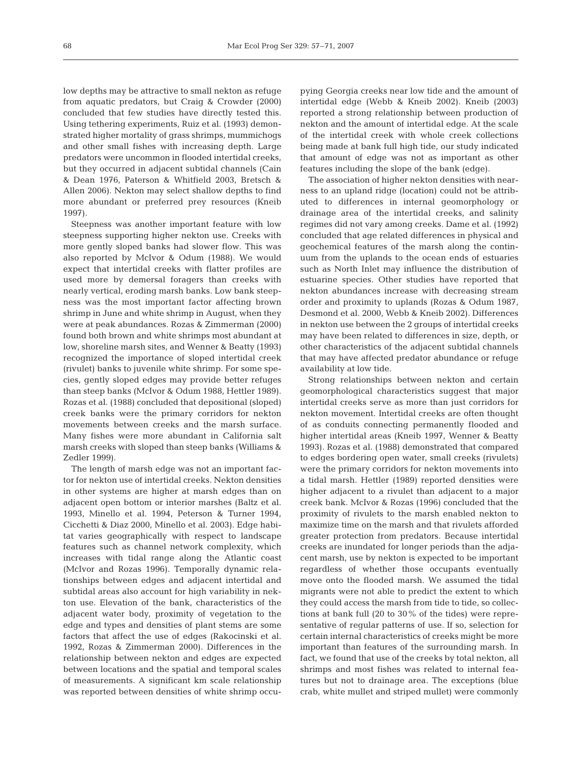low depths may be attractive to small nekton as refuge from aquatic predators, but Craig & Crowder (2000) concluded that few studies have directly tested this. Using tethering experiments, Ruiz et al. (1993) demonstrated higher mortality of grass shrimps, mummichogs and other small fishes with increasing depth. Large predators were uncommon in flooded intertidal creeks, but they occurred in adjacent subtidal channels (Cain & Dean 1976, Paterson & Whitfield 2003, Bretsch & Allen 2006). Nekton may select shallow depths to find more abundant or preferred prey resources (Kneib 1997).

Steepness was another important feature with low steepness supporting higher nekton use. Creeks with more gently sloped banks had slower flow. This was also reported by McIvor & Odum (1988). We would expect that intertidal creeks with flatter profiles are used more by demersal foragers than creeks with nearly vertical, eroding marsh banks. Low bank steepness was the most important factor affecting brown shrimp in June and white shrimp in August, when they were at peak abundances. Rozas & Zimmerman (2000) found both brown and white shrimps most abundant at low, shoreline marsh sites, and Wenner & Beatty (1993) recognized the importance of sloped intertidal creek (rivulet) banks to juvenile white shrimp. For some species, gently sloped edges may provide better refuges than steep banks (McIvor & Odum 1988, Hettler 1989). Rozas et al. (1988) concluded that depositional (sloped) creek banks were the primary corridors for nekton movements between creeks and the marsh surface. Many fishes were more abundant in California salt marsh creeks with sloped than steep banks (Williams & Zedler 1999).

The length of marsh edge was not an important factor for nekton use of intertidal creeks. Nekton densities in other systems are higher at marsh edges than on adjacent open bottom or interior marshes (Baltz et al. 1993, Minello et al. 1994, Peterson & Turner 1994, Cicchetti & Diaz 2000, Minello et al. 2003). Edge habitat varies geographically with respect to landscape features such as channel network complexity, which increases with tidal range along the Atlantic coast (McIvor and Rozas 1996). Temporally dynamic relationships between edges and adjacent intertidal and subtidal areas also account for high variability in nekton use. Elevation of the bank, characteristics of the adjacent water body, proximity of vegetation to the edge and types and densities of plant stems are some factors that affect the use of edges (Rakocinski et al. 1992, Rozas & Zimmerman 2000). Differences in the relationship between nekton and edges are expected between locations and the spatial and temporal scales of measurements. A significant km scale relationship was reported between densities of white shrimp occupying Georgia creeks near low tide and the amount of intertidal edge (Webb & Kneib 2002). Kneib (2003) reported a strong relationship between production of nekton and the amount of intertidal edge. At the scale of the intertidal creek with whole creek collections being made at bank full high tide, our study indicated that amount of edge was not as important as other features including the slope of the bank (edge).

The association of higher nekton densities with nearness to an upland ridge (location) could not be attributed to differences in internal geomorphology or drainage area of the intertidal creeks, and salinity regimes did not vary among creeks. Dame et al. (1992) concluded that age related differences in physical and geochemical features of the marsh along the continuum from the uplands to the ocean ends of estuaries such as North Inlet may influence the distribution of estuarine species. Other studies have reported that nekton abundances increase with decreasing stream order and proximity to uplands (Rozas & Odum 1987, Desmond et al. 2000, Webb & Kneib 2002). Differences in nekton use between the 2 groups of intertidal creeks may have been related to differences in size, depth, or other characteristics of the adjacent subtidal channels that may have affected predator abundance or refuge availability at low tide.

Strong relationships between nekton and certain geomorphological characteristics suggest that major intertidal creeks serve as more than just corridors for nekton movement. Intertidal creeks are often thought of as conduits connecting permanently flooded and higher intertidal areas (Kneib 1997, Wenner & Beatty 1993). Rozas et al. (1988) demonstrated that compared to edges bordering open water, small creeks (rivulets) were the primary corridors for nekton movements into a tidal marsh. Hettler (1989) reported densities were higher adjacent to a rivulet than adjacent to a major creek bank. McIvor & Rozas (1996) concluded that the proximity of rivulets to the marsh enabled nekton to maximize time on the marsh and that rivulets afforded greater protection from predators. Because intertidal creeks are inundated for longer periods than the adjacent marsh, use by nekton is expected to be important regardless of whether those occupants eventually move onto the flooded marsh. We assumed the tidal migrants were not able to predict the extent to which they could access the marsh from tide to tide, so collections at bank full (20 to 30% of the tides) were representative of regular patterns of use. If so, selection for certain internal characteristics of creeks might be more important than features of the surrounding marsh. In fact, we found that use of the creeks by total nekton, all shrimps and most fishes was related to internal features but not to drainage area. The exceptions (blue crab, white mullet and striped mullet) were commonly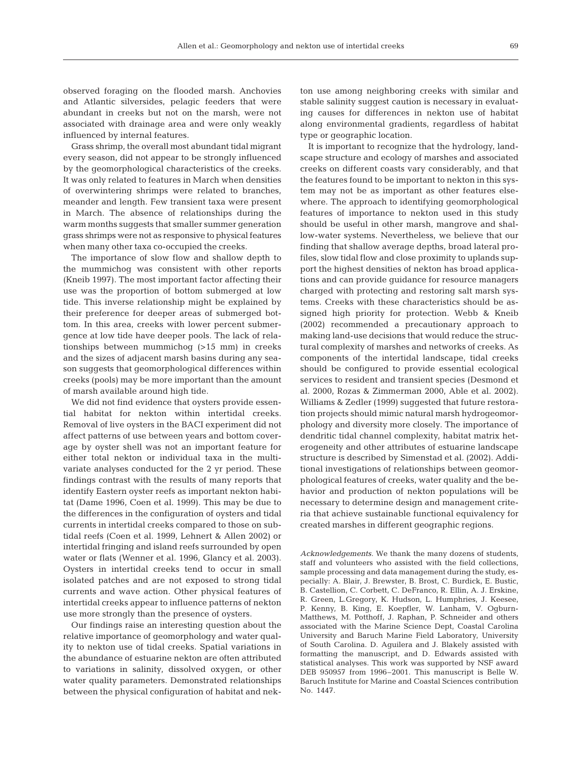observed foraging on the flooded marsh. Anchovies and Atlantic silversides, pelagic feeders that were abundant in creeks but not on the marsh, were not associated with drainage area and were only weakly

influenced by internal features. Grass shrimp, the overall most abundant tidal migrant every season, did not appear to be strongly influenced by the geomorphological characteristics of the creeks. It was only related to features in March when densities of overwintering shrimps were related to branches, meander and length. Few transient taxa were present in March. The absence of relationships during the warm months suggests that smaller summer generation grass shrimps were not as responsive to physical features when many other taxa co-occupied the creeks.

The importance of slow flow and shallow depth to the mummichog was consistent with other reports (Kneib 1997). The most important factor affecting their use was the proportion of bottom submerged at low tide. This inverse relationship might be explained by their preference for deeper areas of submerged bottom. In this area, creeks with lower percent submergence at low tide have deeper pools. The lack of relationships between mummichog (>15 mm) in creeks and the sizes of adjacent marsh basins during any season suggests that geomorphological differences within creeks (pools) may be more important than the amount of marsh available around high tide.

We did not find evidence that oysters provide essential habitat for nekton within intertidal creeks. Removal of live oysters in the BACI experiment did not affect patterns of use between years and bottom coverage by oyster shell was not an important feature for either total nekton or individual taxa in the multivariate analyses conducted for the 2 yr period. These findings contrast with the results of many reports that identify Eastern oyster reefs as important nekton habitat (Dame 1996, Coen et al. 1999). This may be due to the differences in the configuration of oysters and tidal currents in intertidal creeks compared to those on subtidal reefs (Coen et al. 1999, Lehnert & Allen 2002) or intertidal fringing and island reefs surrounded by open water or flats (Wenner et al. 1996, Glancy et al. 2003). Oysters in intertidal creeks tend to occur in small isolated patches and are not exposed to strong tidal currents and wave action. Other physical features of intertidal creeks appear to influence patterns of nekton use more strongly than the presence of oysters.

Our findings raise an interesting question about the relative importance of geomorphology and water quality to nekton use of tidal creeks. Spatial variations in the abundance of estuarine nekton are often attributed to variations in salinity, dissolved oxygen, or other water quality parameters. Demonstrated relationships between the physical configuration of habitat and nekton use among neighboring creeks with similar and stable salinity suggest caution is necessary in evaluating causes for differences in nekton use of habitat along environmental gradients, regardless of habitat type or geographic location.

It is important to recognize that the hydrology, landscape structure and ecology of marshes and associated creeks on different coasts vary considerably, and that the features found to be important to nekton in this system may not be as important as other features elsewhere. The approach to identifying geomorphological features of importance to nekton used in this study should be useful in other marsh, mangrove and shallow-water systems. Nevertheless, we believe that our finding that shallow average depths, broad lateral profiles, slow tidal flow and close proximity to uplands support the highest densities of nekton has broad applications and can provide guidance for resource managers charged with protecting and restoring salt marsh systems. Creeks with these characteristics should be assigned high priority for protection. Webb & Kneib (2002) recommended a precautionary approach to making land-use decisions that would reduce the structural complexity of marshes and networks of creeks. As components of the intertidal landscape, tidal creeks should be configured to provide essential ecological services to resident and transient species (Desmond et al. 2000, Rozas & Zimmerman 2000, Able et al. 2002). Williams & Zedler (1999) suggested that future restoration projects should mimic natural marsh hydrogeomorphology and diversity more closely. The importance of dendritic tidal channel complexity, habitat matrix heterogeneity and other attributes of estuarine landscape structure is described by Simenstad et al. (2002). Additional investigations of relationships between geomorphological features of creeks, water quality and the behavior and production of nekton populations will be necessary to determine design and management criteria that achieve sustainable functional equivalency for created marshes in different geographic regions.

*Acknowledgements.* We thank the many dozens of students, staff and volunteers who assisted with the field collections, sample processing and data management during the study, especially: A. Blair, J. Brewster, B. Brost, C. Burdick, E. Bustic, B. Castellion, C. Corbett, C. DeFranco, R. Ellin, A. J. Erskine, R. Green, L.Gregory, K. Hudson, L. Humphries, J. Keesee, P. Kenny, B. King, E. Koepfler, W. Lanham, V. Ogburn-Matthews, M. Potthoff, J. Raphan, P. Schneider and others associated with the Marine Science Dept, Coastal Carolina University and Baruch Marine Field Laboratory, University of South Carolina. D. Aguilera and J. Blakely assisted with formatting the manuscript, and D. Edwards assisted with statistical analyses. This work was supported by NSF award DEB 950957 from 1996–2001. This manuscript is Belle W. Baruch Institute for Marine and Coastal Sciences contribution No. 1447.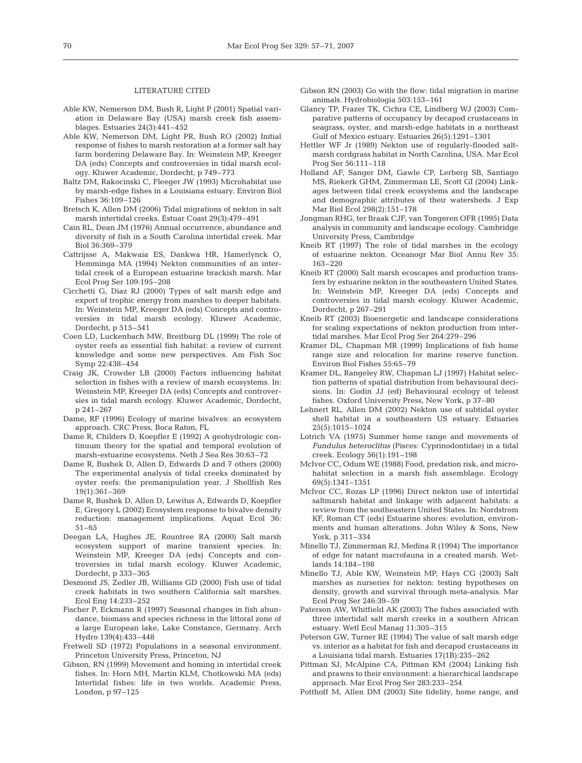#### LITERATURE CITED

- Able KW, Nemerson DM, Bush R, Light P (2001) Spatial variation in Delaware Bay (USA) marsh creek fish assemblages. Estuaries 24(3):441–452
- Able KW, Nemerson DM, Light PR, Bush RO (2002) Initial response of fishes to marsh restoration at a former salt hay farm bordering Delaware Bay. In: Weinstein MP, Kreeger DA (eds) Concepts and controversies in tidal marsh ecology. Kluwer Academic, Dordecht, p 749–773
- Baltz DM, Rakocinski C, Fleeger JW (1993) Microhabitat use by marsh-edge fishes in a Louisiana estuary. Environ Biol Fishes 36:109–126
- Bretsch K, Allen DM (2006) Tidal migrations of nekton in salt marsh intertidal creeks. Estuar Coast 29(3):479–491
- Cain RL, Dean JM (1976) Annual occurrence, abundance and diversity of fish in a South Carolina intertidal creek. Mar Biol 36:369–379
- Cattrijsse A, Makwaia ES, Dankwa HR, Hamerlynck O, Hemminga MA (1994) Nekton communities of an intertidal creek of a European estuarine brackish marsh. Mar Ecol Prog Ser 109:195–208
- Cicchetti G, Diaz RJ (2000) Types of salt marsh edge and export of trophic energy from marshes to deeper habitats. In: Weinstein MP, Kreeger DA (eds) Concepts and controversies in tidal marsh ecology. Kluwer Academic, Dordecht, p 515–541
- Coen LD, Luckenbach MW, Breitburg DL (1999) The role of oyster reefs as essential fish habitat: a review of current knowledge and some new perspectives. Am Fish Soc Symp 22:438–454
- Craig JK, Crowder LB (2000) Factors influencing habitat selection in fishes with a review of marsh ecosystems. In: Weinstein MP, Kreeger DA (eds) Concepts and controversies in tidal marsh ecology. Kluwer Academic, Dordecht, p 241–267
- Dame, RF (1996) Ecology of marine bivalves: an ecosystem approach. CRC Press, Boca Raton, FL
- Dame R, Childers D, Koepfler E (1992) A geohydrologic continuum theory for the spatial and temporal evolution of marsh-estuarine ecosystems. Neth J Sea Res 30:63–72
- Dame R, Bushek D, Allen D, Edwards D and 7 others (2000) The experimental analysis of tidal creeks dominated by oyster reefs: the premanipulation year. J Shellfish Res 19(1):361–369
- Dame R, Bushek D, Allen D, Lewitus A, Edwards D, Koepfler E, Gregory L (2002) Ecosystem response to bivalve density reduction: management implications. Aquat Ecol 36: 51–65
- Deegan LA, Hughes JE, Rountree RA (2000) Salt marsh ecosystem support of marine transient species. In: Weinstein MP, Kreeger DA (eds) Concepts and controversies in tidal marsh ecology. Kluwer Academic, Dordecht, p 333–365
- Desmond JS, Zedler JB, Williams GD (2000) Fish use of tidal creek habitats in two southern California salt marshes. Ecol Eng 14:233–252
- Fischer P, Eckmann R (1997) Seasonal changes in fish abundance, biomass and species richness in the littoral zone of a large European lake, Lake Constance, Germany. Arch Hydro 139(4):433–448
- Fretwell SD (1972) Populations in a seasonal environment. Princeton University Press, Princeton, NJ
- Gibson, RN (1999) Movement and homing in intertidal creek fishes. In: Horn MH, Martin KLM, Chotkowski MA (eds) Intertidal fishes: life in two worlds. Academic Press, London, p 97–125
- Gibson RN (2003) Go with the flow: tidal migration in marine animals. Hydrobiologia 503:153–161
- Glancy TP, Frazer TK, Cichra CE, Lindberg WJ (2003) Comparative patterns of occupancy by decapod crustaceans in seagrass, oyster, and marsh-edge habitats in a northeast Gulf of Mexico estuary. Estuaries 26(5):1291–1301
- Hettler WF Jr (1989) Nekton use of regularly-flooded saltmarsh cordgrass habitat in North Carolina, USA. Mar Ecol Prog Ser 56:111–118
- Holland AF, Sanger DM, Gawle CP, Lerberg SB, Santiago MS, Riekerk GHM, Zimmerman LE, Scott GI (2004) Linkages between tidal creek ecosystems and the landscape and demographic attributes of their watersheds. J Exp Mar Biol Ecol 298(2):151–178
- Jongman RHG, ter Braak CJF, van Tongeren OFR (1995) Data analysis in community and landscape ecology. Cambridge University Press, Cambridge
- Kneib RT (1997) The role of tidal marshes in the ecology of estuarine nekton. Oceanogr Mar Biol Annu Rev 35: 163–220
- Kneib RT (2000) Salt marsh ecoscapes and production transfers by estuarine nekton in the southeastern United States. In: Weinstein MP, Kreeger DA (eds) Concepts and controversies in tidal marsh ecology. Kluwer Academic, Dordecht, p 267–291
- Kneib RT (2003) Bioenergetic and landscape considerations for scaling expectations of nekton production from intertidal marshes. Mar Ecol Prog Ser 264:279–296
- Kramer DL, Chapman MR (1999) Implications of fish home range size and relocation for marine reserve function. Environ Biol Fishes 55:65–79
- Kramer DL, Rangeley RW, Chapman LJ (1997) Habitat selection patterns of spatial distribution from behavioural decisions. In: Godin JJ (ed) Behavioural ecology of teleost fishes. Oxford University Press, New York, p 37–80
- Lehnert RL, Allen DM (2002) Nekton use of subtidal oyster shell habitat in a southeastern US estuary. Estuaries 25(5):1015–1024
- Lotrich VA (1975) Summer home range and movements of *Fundulus heteroclitus* (Pisces: Cyprinodontidae) in a tidal creek. Ecology 56(1):191–198
- McIvor CC, Odum WE (1988) Food, predation risk, and microhabitat selection in a marsh fish assemblage. Ecology 69(5):1341–1351
- McIvor CC, Rozas LP (1996) Direct nekton use of intertidal saltmarsh habitat and linkage with adjacent habitats: a review from the southeastern United States. In: Nordstrom KF, Roman CT (eds) Estuarine shores: evolution, environments and human alterations. John Wiley & Sons, New York, p 311–334
- Minello TJ, Zimmerman RJ, Medina R (1994) The importance of edge for natant macrofauna in a created marsh. Wetlands 14:184–198
- Minello TJ, Able KW, Weinstein MP, Hays CG (2003) Salt marshes as nurseries for nekton: testing hypotheses on density, growth and survival through meta-analysis. Mar Ecol Prog Ser 246:39–59
- Paterson AW, Whitfield AK (2003) The fishes associated with three intertidal salt marsh creeks in a southern African estuary. Wetl Ecol Manag 11:305–315
- Peterson GW, Turner RE (1994) The value of salt marsh edge vs. interior as a habitat for fish and decapod crustaceans in a Louisiana tidal marsh. Estuaries 17(1B):235–262
- Pittman SJ, McAlpine CA, Pittman KM (2004) Linking fish and prawns to their environment: a hierarchical landscape approach. Mar Ecol Prog Ser 283:233–254
- Potthoff M, Allen DM (2003) Site fidelity, home range, and